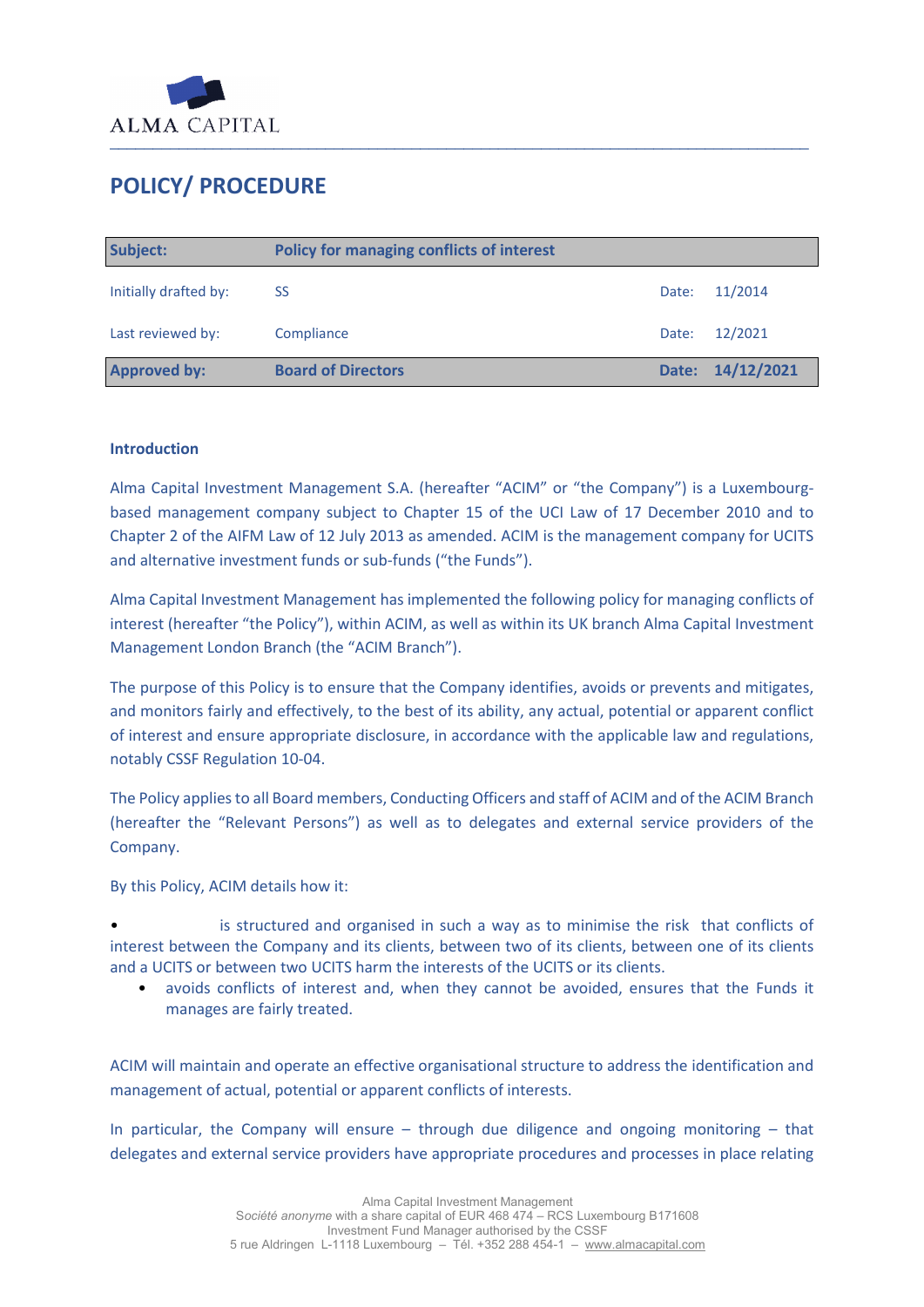

# **POLICY/ PROCEDURE**

| Subject:              | <b>Policy for managing conflicts of interest</b> |       |                  |
|-----------------------|--------------------------------------------------|-------|------------------|
| Initially drafted by: | <b>SS</b>                                        | Date: | 11/2014          |
| Last reviewed by:     | Compliance                                       | Date: | 12/2021          |
| <b>Approved by:</b>   | <b>Board of Directors</b>                        |       | Date: 14/12/2021 |

#### **Introduction**

Alma Capital Investment Management S.A. (hereafter "ACIM" or "the Company") is a Luxembourgbased management company subject to Chapter 15 of the UCI Law of 17 December 2010 and to Chapter 2 of the AIFM Law of 12 July 2013 as amended. ACIM is the management company for UCITS and alternative investment funds or sub-funds ("the Funds").

Alma Capital Investment Management has implemented the following policy for managing conflicts of interest (hereafter "the Policy"), within ACIM, as well as within its UK branch Alma Capital Investment Management London Branch (the "ACIM Branch").

The purpose of this Policy is to ensure that the Company identifies, avoids or prevents and mitigates, and monitors fairly and effectively, to the best of its ability, any actual, potential or apparent conflict of interest and ensure appropriate disclosure, in accordance with the applicable law and regulations, notably CSSF Regulation 10-04.

The Policy applies to all Board members, Conducting Officers and staff of ACIM and of the ACIM Branch (hereafter the "Relevant Persons") as well as to delegates and external service providers of the Company.

By this Policy, ACIM details how it:

is structured and organised in such a way as to minimise the risk that conflicts of interest between the Company and its clients, between two of its clients, between one of its clients and a UCITS or between two UCITS harm the interests of the UCITS or its clients.

• avoids conflicts of interest and, when they cannot be avoided, ensures that the Funds it manages are fairly treated.

ACIM will maintain and operate an effective organisational structure to address the identification and management of actual, potential or apparent conflicts of interests.

In particular, the Company will ensure  $-$  through due diligence and ongoing monitoring  $-$  that delegates and external service providers have appropriate procedures and processes in place relating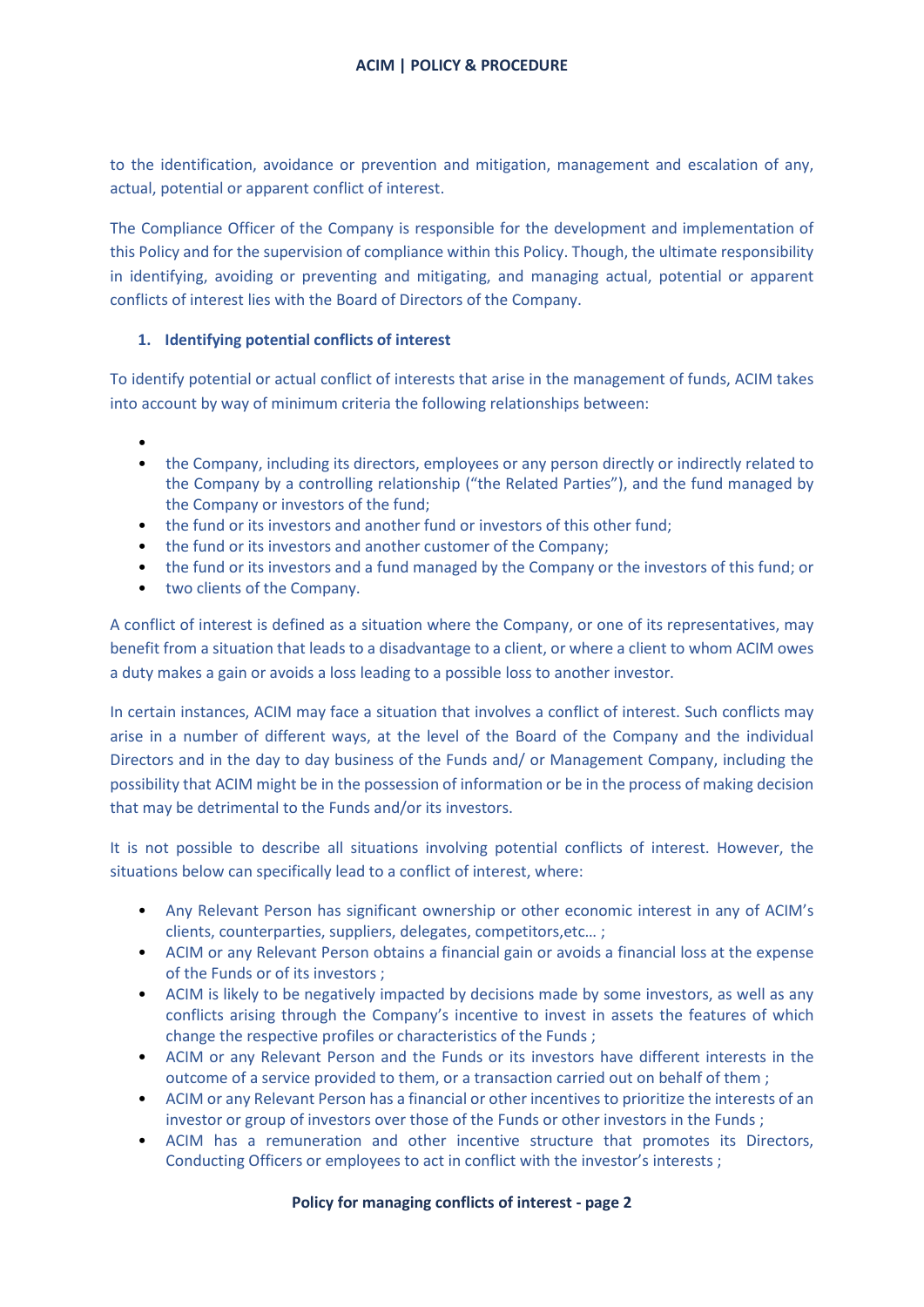to the identification, avoidance or prevention and mitigation, management and escalation of any, actual, potential or apparent conflict of interest.

The Compliance Officer of the Company is responsible for the development and implementation of this Policy and for the supervision of compliance within this Policy. Though, the ultimate responsibility in identifying, avoiding or preventing and mitigating, and managing actual, potential or apparent conflicts of interest lies with the Board of Directors of the Company.

# **1. Identifying potential conflicts of interest**

To identify potential or actual conflict of interests that arise in the management of funds, ACIM takes into account by way of minimum criteria the following relationships between:

- •
- the Company, including its directors, employees or any person directly or indirectly related to the Company by a controlling relationship ("the Related Parties"), and the fund managed by the Company or investors of the fund;
- the fund or its investors and another fund or investors of this other fund;
- the fund or its investors and another customer of the Company;
- the fund or its investors and a fund managed by the Company or the investors of this fund; or
- two clients of the Company.

A conflict of interest is defined as a situation where the Company, or one of its representatives, may benefit from a situation that leads to a disadvantage to a client, or where a client to whom ACIM owes a duty makes a gain or avoids a loss leading to a possible loss to another investor.

In certain instances, ACIM may face a situation that involves a conflict of interest. Such conflicts may arise in a number of different ways, at the level of the Board of the Company and the individual Directors and in the day to day business of the Funds and/ or Management Company, including the possibility that ACIM might be in the possession of information or be in the process of making decision that may be detrimental to the Funds and/or its investors.

It is not possible to describe all situations involving potential conflicts of interest. However, the situations below can specifically lead to a conflict of interest, where:

- Any Relevant Person has significant ownership or other economic interest in any of ACIM's clients, counterparties, suppliers, delegates, competitors,etc… ;
- ACIM or any Relevant Person obtains a financial gain or avoids a financial loss at the expense of the Funds or of its investors ;
- ACIM is likely to be negatively impacted by decisions made by some investors, as well as any conflicts arising through the Company's incentive to invest in assets the features of which change the respective profiles or characteristics of the Funds ;
- ACIM or any Relevant Person and the Funds or its investors have different interests in the outcome of a service provided to them, or a transaction carried out on behalf of them ;
- ACIM or any Relevant Person has a financial or other incentives to prioritize the interests of an investor or group of investors over those of the Funds or other investors in the Funds ;
- ACIM has a remuneration and other incentive structure that promotes its Directors, Conducting Officers or employees to act in conflict with the investor's interests ;

## **Policy for managing conflicts of interest - page 2**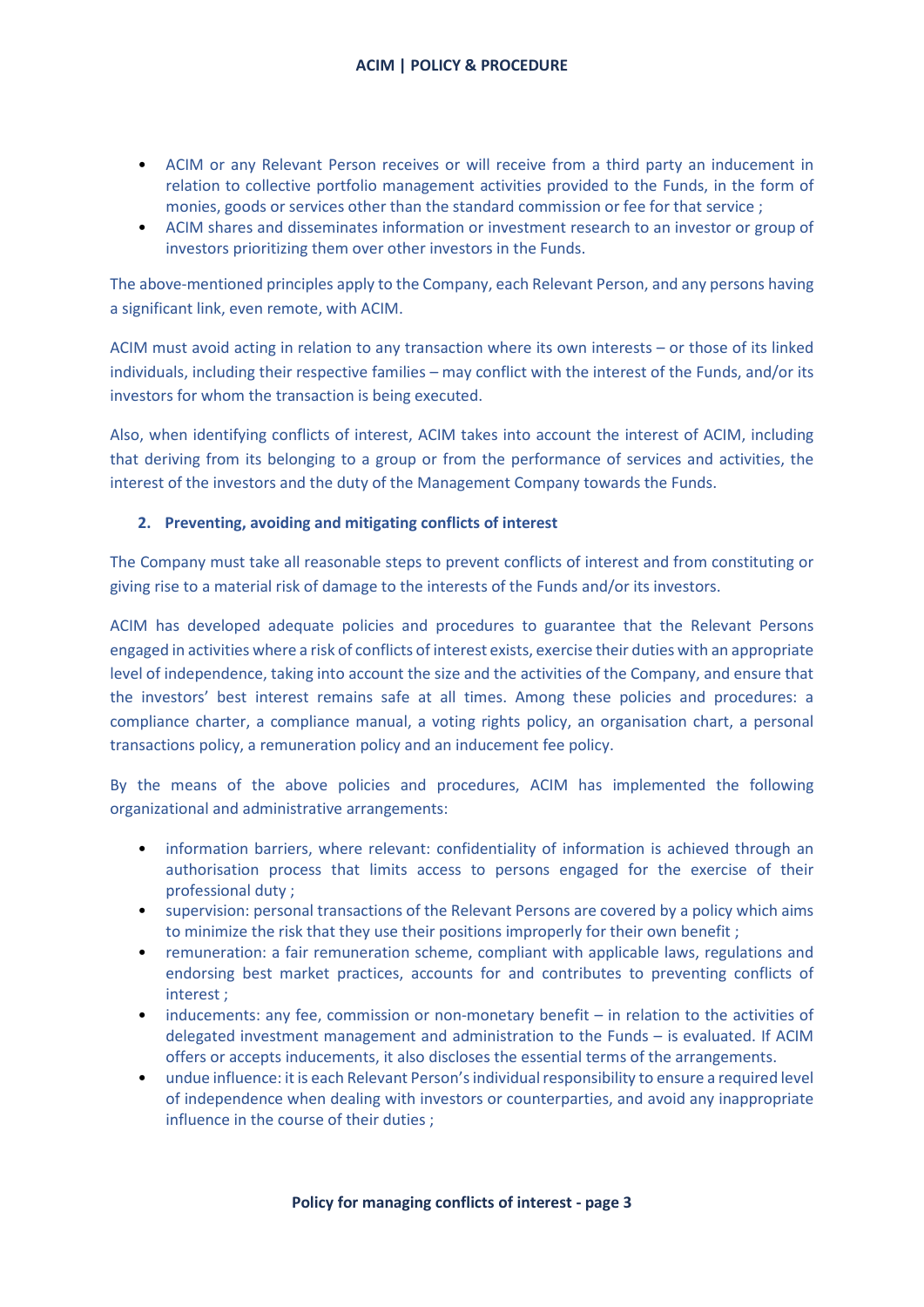- ACIM or any Relevant Person receives or will receive from a third party an inducement in relation to collective portfolio management activities provided to the Funds, in the form of monies, goods or services other than the standard commission or fee for that service ;
- ACIM shares and disseminates information or investment research to an investor or group of investors prioritizing them over other investors in the Funds.

The above-mentioned principles apply to the Company, each Relevant Person, and any persons having a significant link, even remote, with ACIM.

ACIM must avoid acting in relation to any transaction where its own interests – or those of its linked individuals, including their respective families – may conflict with the interest of the Funds, and/or its investors for whom the transaction is being executed.

Also, when identifying conflicts of interest, ACIM takes into account the interest of ACIM, including that deriving from its belonging to a group or from the performance of services and activities, the interest of the investors and the duty of the Management Company towards the Funds.

## **2. Preventing, avoiding and mitigating conflicts of interest**

The Company must take all reasonable steps to prevent conflicts of interest and from constituting or giving rise to a material risk of damage to the interests of the Funds and/or its investors.

ACIM has developed adequate policies and procedures to guarantee that the Relevant Persons engaged in activities where a risk of conflicts of interest exists, exercise their duties with an appropriate level of independence, taking into account the size and the activities of the Company, and ensure that the investors' best interest remains safe at all times. Among these policies and procedures: a compliance charter, a compliance manual, a voting rights policy, an organisation chart, a personal transactions policy, a remuneration policy and an inducement fee policy.

By the means of the above policies and procedures, ACIM has implemented the following organizational and administrative arrangements:

- information barriers, where relevant: confidentiality of information is achieved through an authorisation process that limits access to persons engaged for the exercise of their professional duty ;
- supervision: personal transactions of the Relevant Persons are covered by a policy which aims to minimize the risk that they use their positions improperly for their own benefit ;
- remuneration: a fair remuneration scheme, compliant with applicable laws, regulations and endorsing best market practices, accounts for and contributes to preventing conflicts of interest ;
- inducements: any fee, commission or non-monetary benefit in relation to the activities of delegated investment management and administration to the Funds – is evaluated. If ACIM offers or accepts inducements, it also discloses the essential terms of the arrangements.
- undue influence: it is each Relevant Person's individual responsibility to ensure a required level of independence when dealing with investors or counterparties, and avoid any inappropriate influence in the course of their duties ;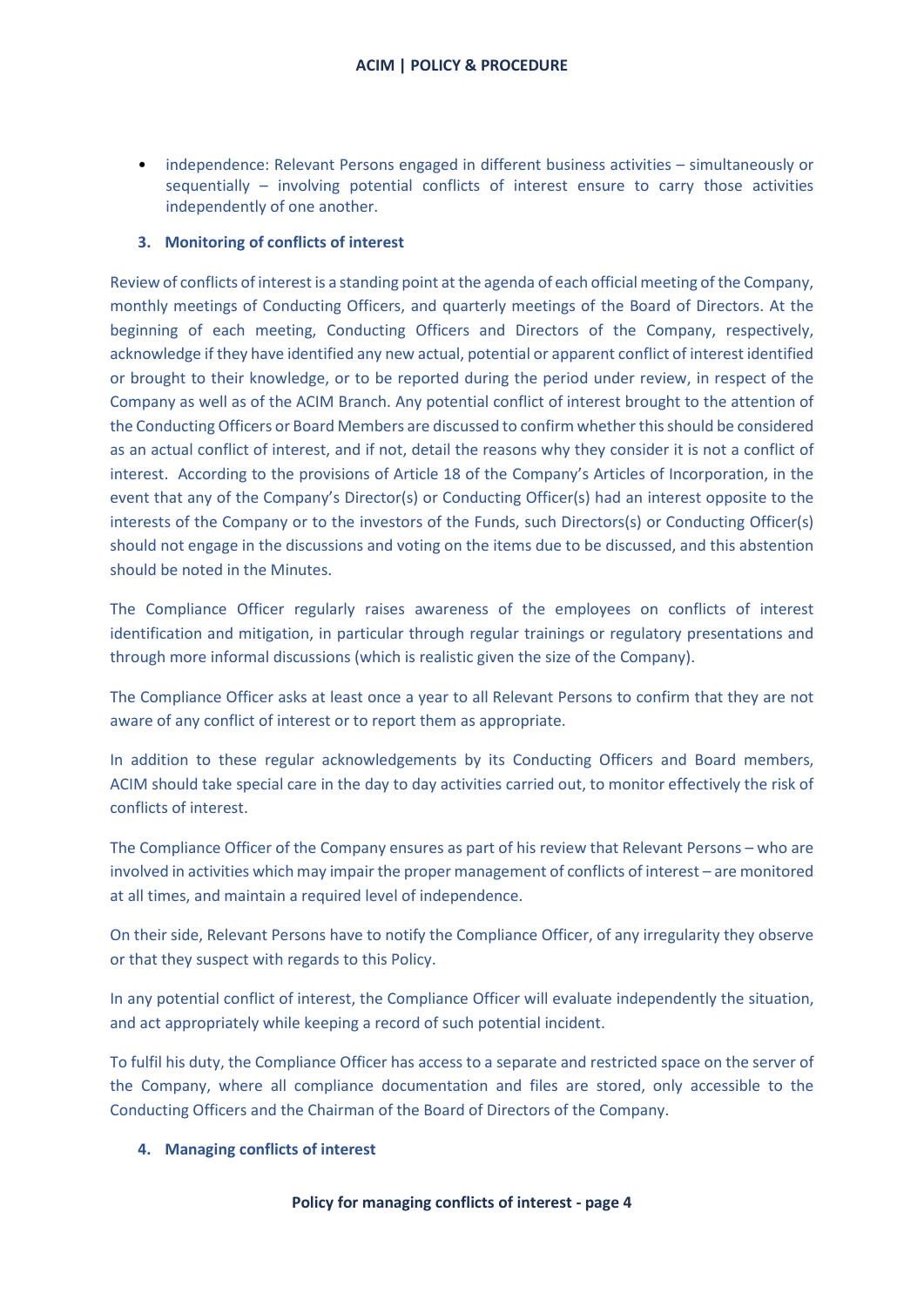• independence: Relevant Persons engaged in different business activities – simultaneously or sequentially – involving potential conflicts of interest ensure to carry those activities independently of one another.

## **3. Monitoring of conflicts of interest**

Review of conflicts of interest is a standing point at the agenda of each official meeting of the Company, monthly meetings of Conducting Officers, and quarterly meetings of the Board of Directors. At the beginning of each meeting, Conducting Officers and Directors of the Company, respectively, acknowledge if they have identified any new actual, potential or apparent conflict of interest identified or brought to their knowledge, or to be reported during the period under review, in respect of the Company as well as of the ACIM Branch. Any potential conflict of interest brought to the attention of the Conducting Officers or Board Members are discussed to confirm whether this should be considered as an actual conflict of interest, and if not, detail the reasons why they consider it is not a conflict of interest. According to the provisions of Article 18 of the Company's Articles of Incorporation, in the event that any of the Company's Director(s) or Conducting Officer(s) had an interest opposite to the interests of the Company or to the investors of the Funds, such Directors(s) or Conducting Officer(s) should not engage in the discussions and voting on the items due to be discussed, and this abstention should be noted in the Minutes.

The Compliance Officer regularly raises awareness of the employees on conflicts of interest identification and mitigation, in particular through regular trainings or regulatory presentations and through more informal discussions (which is realistic given the size of the Company).

The Compliance Officer asks at least once a year to all Relevant Persons to confirm that they are not aware of any conflict of interest or to report them as appropriate.

In addition to these regular acknowledgements by its Conducting Officers and Board members, ACIM should take special care in the day to day activities carried out, to monitor effectively the risk of conflicts of interest.

The Compliance Officer of the Company ensures as part of his review that Relevant Persons – who are involved in activities which may impair the proper management of conflicts of interest – are monitored at all times, and maintain a required level of independence.

On their side, Relevant Persons have to notify the Compliance Officer, of any irregularity they observe or that they suspect with regards to this Policy.

In any potential conflict of interest, the Compliance Officer will evaluate independently the situation, and act appropriately while keeping a record of such potential incident.

To fulfil his duty, the Compliance Officer has access to a separate and restricted space on the server of the Company, where all compliance documentation and files are stored, only accessible to the Conducting Officers and the Chairman of the Board of Directors of the Company.

#### **4. Managing conflicts of interest**

#### **Policy for managing conflicts of interest - page 4**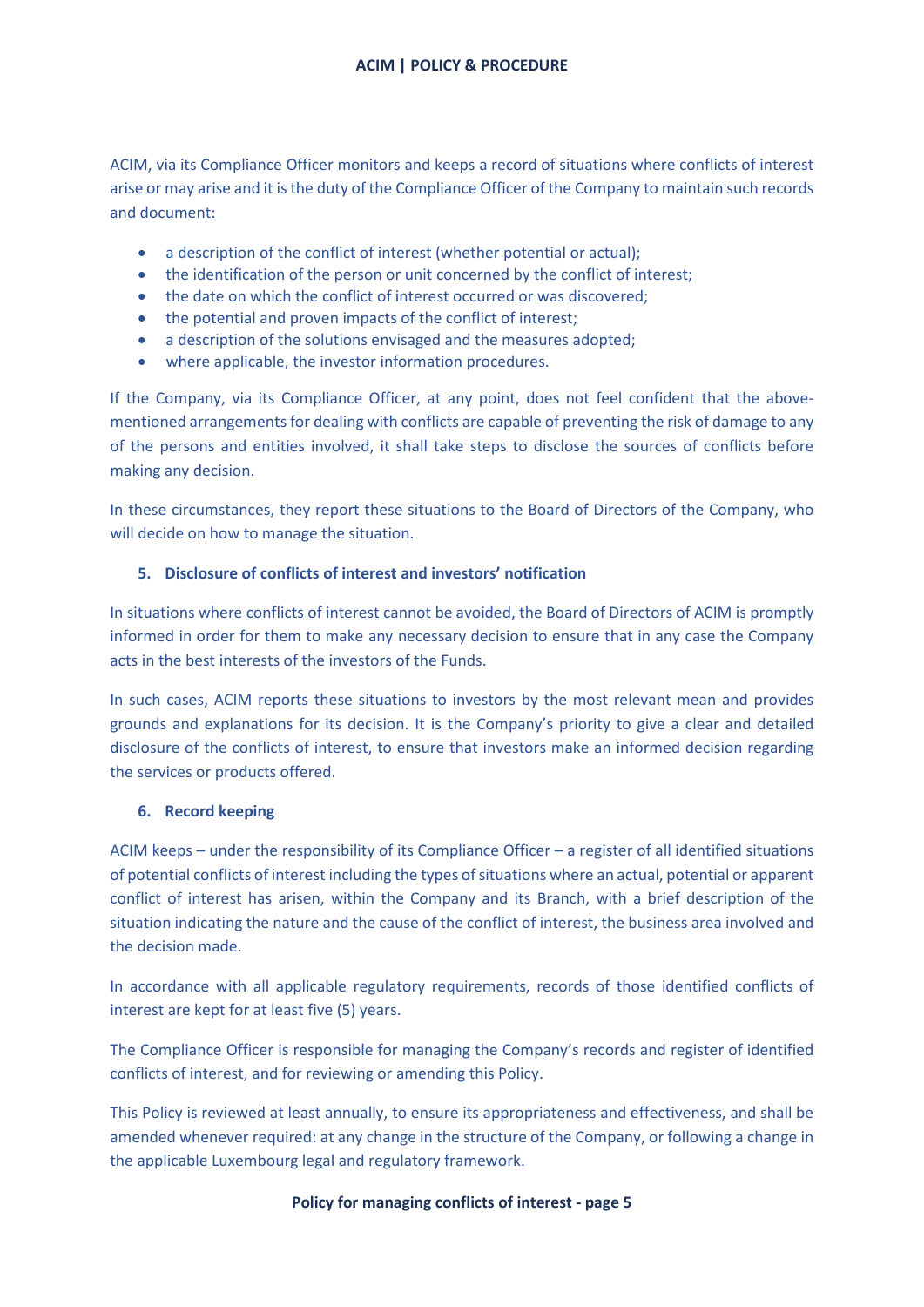ACIM, via its Compliance Officer monitors and keeps a record of situations where conflicts of interest arise or may arise and it is the duty of the Compliance Officer of the Company to maintain such records and document:

- a description of the conflict of interest (whether potential or actual);
- the identification of the person or unit concerned by the conflict of interest;
- the date on which the conflict of interest occurred or was discovered;
- the potential and proven impacts of the conflict of interest;
- a description of the solutions envisaged and the measures adopted;
- where applicable, the investor information procedures.

If the Company, via its Compliance Officer, at any point, does not feel confident that the abovementioned arrangements for dealing with conflicts are capable of preventing the risk of damage to any of the persons and entities involved, it shall take steps to disclose the sources of conflicts before making any decision.

In these circumstances, they report these situations to the Board of Directors of the Company, who will decide on how to manage the situation.

# **5. Disclosure of conflicts of interest and investors' notification**

In situations where conflicts of interest cannot be avoided, the Board of Directors of ACIM is promptly informed in order for them to make any necessary decision to ensure that in any case the Company acts in the best interests of the investors of the Funds.

In such cases, ACIM reports these situations to investors by the most relevant mean and provides grounds and explanations for its decision. It is the Company's priority to give a clear and detailed disclosure of the conflicts of interest, to ensure that investors make an informed decision regarding the services or products offered.

## **6. Record keeping**

ACIM keeps – under the responsibility of its Compliance Officer – a register of all identified situations of potential conflicts of interest including the types of situations where an actual, potential or apparent conflict of interest has arisen, within the Company and its Branch, with a brief description of the situation indicating the nature and the cause of the conflict of interest, the business area involved and the decision made.

In accordance with all applicable regulatory requirements, records of those identified conflicts of interest are kept for at least five (5) years.

The Compliance Officer is responsible for managing the Company's records and register of identified conflicts of interest, and for reviewing or amending this Policy.

This Policy is reviewed at least annually, to ensure its appropriateness and effectiveness, and shall be amended whenever required: at any change in the structure of the Company, or following a change in the applicable Luxembourg legal and regulatory framework.

## **Policy for managing conflicts of interest - page 5**